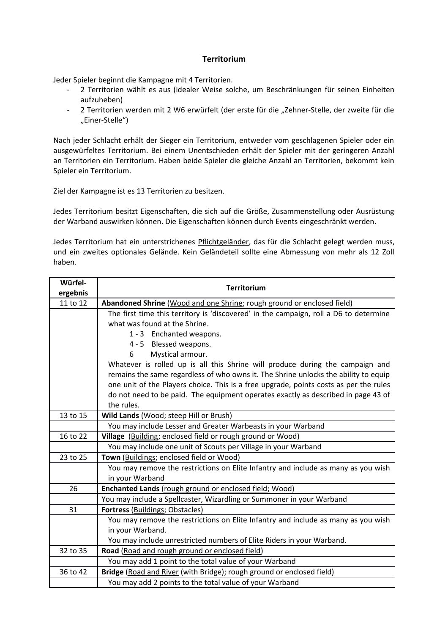## **Territorium**

Jeder Spieler beginnt die Kampagne mit 4 Territorien.

- 2 Territorien wählt es aus (idealer Weise solche, um Beschränkungen für seinen Einheiten aufzuheben)
- 2 Territorien werden mit 2 W6 erwürfelt (der erste für die "Zehner-Stelle, der zweite für die "Einer-Stelle")

Nach jeder Schlacht erhält der Sieger ein Territorium, entweder vom geschlagenen Spieler oder ein ausgewürfeltes Territorium. Bei einem Unentschieden erhält der Spieler mit der geringeren Anzahl an Territorien ein Territorium. Haben beide Spieler die gleiche Anzahl an Territorien, bekommt kein Spieler ein Territorium.

Ziel der Kampagne ist es 13 Territorien zu besitzen.

Jedes Territorium besitzt Eigenschaften, die sich auf die Größe, Zusammenstellung oder Ausrüstung der Warband auswirken können. Die Eigenschaften können durch Events eingeschränkt werden.

Jedes Territorium hat ein unterstrichenes Pflichtgeländer, das für die Schlacht gelegt werden muss, und ein zweites optionales Gelände. Kein Geländeteil sollte eine Abmessung von mehr als 12 Zoll haben.

| Würfel-<br>ergebnis | <b>Territorium</b>                                                                    |
|---------------------|---------------------------------------------------------------------------------------|
| 11 to 12            | Abandoned Shrine (Wood and one Shrine; rough ground or enclosed field)                |
|                     | The first time this territory is 'discovered' in the campaign, roll a D6 to determine |
|                     | what was found at the Shrine.                                                         |
|                     | 1 - 3 Enchanted weapons.                                                              |
|                     | 4 - 5 Blessed weapons.                                                                |
|                     | Mystical armour.<br>6                                                                 |
|                     | Whatever is rolled up is all this Shrine will produce during the campaign and         |
|                     | remains the same regardless of who owns it. The Shrine unlocks the ability to equip   |
|                     | one unit of the Players choice. This is a free upgrade, points costs as per the rules |
|                     | do not need to be paid. The equipment operates exactly as described in page 43 of     |
|                     | the rules.                                                                            |
| 13 to 15            | Wild Lands (Wood; steep Hill or Brush)                                                |
|                     | You may include Lesser and Greater Warbeasts in your Warband                          |
| 16 to 22            | Village (Building; enclosed field or rough ground or Wood)                            |
|                     | You may include one unit of Scouts per Village in your Warband                        |
| 23 to 25            | Town (Buildings; enclosed field or Wood)                                              |
|                     | You may remove the restrictions on Elite Infantry and include as many as you wish     |
|                     | in your Warband                                                                       |
| 26                  | Enchanted Lands (rough ground or enclosed field; Wood)                                |
|                     | You may include a Spellcaster, Wizardling or Summoner in your Warband                 |
| 31                  | <b>Fortress (Buildings; Obstacles)</b>                                                |
|                     | You may remove the restrictions on Elite Infantry and include as many as you wish     |
|                     | in your Warband.                                                                      |
|                     | You may include unrestricted numbers of Elite Riders in your Warband.                 |
| 32 to 35            | Road (Road and rough ground or enclosed field)                                        |
|                     | You may add 1 point to the total value of your Warband                                |
| 36 to 42            | Bridge (Road and River (with Bridge); rough ground or enclosed field)                 |
|                     | You may add 2 points to the total value of your Warband                               |